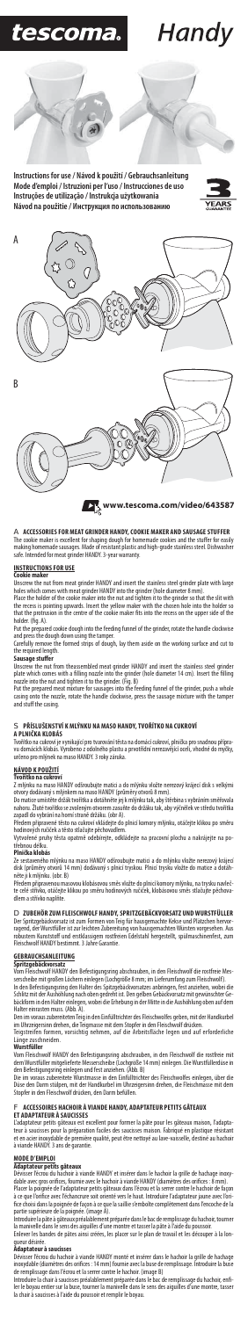### A **ACCESSORIES FOR MEAT GRINDER HANDY, COOKIE MAKER AND SAUSAGE STUFFER**

The cookie maker is excellent for shaping dough for homemade cookies and the stuffer for easily making homemade sausages. Made of resistant plastic and high-grade stainless steel. Dishwasher safe. Intended for meat grinder HANDY. 3-year warranty.

### **INSTRUCTIONS FOR USE Cookie maker**

Unscrew the nut from meat grinder HANDY and insert the stainless steel grinder plate with large holes which comes with meat grinder HANDY into the grinder (hole diameter 8 mm). Place the holder of the cookie maker into the nut and tighten it to the grinder so that the slit with

the recess is pointing upwards. Insert the yellow maker with the chosen hole into the holder so<br>that the protrusion in the centre of the cookie maker fits into the recess on the upper side of the holder. (fig. A).

Unscrew the nut from theassembled meat grinder HANDY and insert the stainless steel grinder<br>plate which comes with a filling nozzle into the grinder (hole diameter 14 cm). Insert the filling nozzle into the nut and tighten it to the grinder. (Fig. B) Put the prepared meat mixture for sausages into the feeding funnel of the grinder, push a whole

Put the prepared cookie dough into the feeding funnel of the grinder, rotate the handle clockwise and press the dough down using the tamper.

### **NÁVOD K POUŽITÍ** vořítko na cukr

Carefully remove the formed strips of dough, lay them aside on the working surface and cut to the required length.

### **Sausage stuffer**

Ze sestaveného mlýnku na maso HANDY odšroubujte matici a do mlýnku vložte nerezový krájecí disk (průměry otvorů 14 mm) dodávaný s plnicí tryskou. Plnicí trysku vložte do matice a d

casing onto the nozzle, rotate the handle clockwise, press the sausage mixture with the tamper and stuff the casing.

### S **PŘÍSLUŠENSTVÍ K MLÝNKU NA MASO HANDY, TVOŘÍTKO NA CUKROVÍ A PLNIČKA KLOBÁS**

Tvořítko na cukroví je vynikající pro tvarování těsta na domácí cukroví, plnička pro snadnou přípra-vu domácích klobás. Vyrobeno z odolného plastu a prvotřídní nerezavějící oceli, vhodné do myčky, určeno pro mlýnek na maso HANDY. 3 roky záruka.

Z mlýnku na maso HANDY odšroubujte matici a do mlýnku vložte nerezový krájecí disk s velkými

otvory dodávaný s mlýnkem na maso HANDY (průměry otvorů 8 mm). Do matice umístěte držák tvořítka a dotáhněte jej k mlýnku tak, aby štěrbina s vybráním směřovala nahoru. Žluté tvořítko se zvoleným otvorem zasuňte do držáku tak, aby výčnělek ve středu tvořítka zapadl do vybrání na horní straně držáku. (obr A).

Předem připravené těsto na cukroví vkládejte do plnicí komory mlýnku, otáčejte klikou po směru hodinových ručiček a těsto stlačujte pěchovadlem.

Vytvořené pruhy těsta opatrně odebírejte, odkládejte na pracovní plochu a nakrájejte na po-třebnou délku.

### **Plnička klobás**

Dévisser l'écrou du hachoir à viande HANDY et insérer dans le hachoir la grille de hachage inoxydable avec gros orifices, fournie avec le hachoir à viande HANDY (diamètres des orifices : 8 mm).

něte ji k mlýnku. (obr. B)

Placer la poignée de l'adaptateur petits gâteaux dans l'écrou et la serrer contre le hachoir de façon<br>à ce que l'orifice avec l'échancrure soit orienté vers le haut. Introduire l'adaptateur jaune avec l'ori-,<br>fice avec l'échancrure soit orienté vers le haut. Introduire l'adaptateur jaune avec l' fice choisi dans la poignée de façon à ce que la saillie s'emboîte complètement dans l'encoche de la partie supérieure de la poignée. (image A).

Předem připravenou masovou klobásovou směs vložte do plnicí komory mlýnku, na trysku navlečte celé střívko, otáčejte klikou po směru hodinových ručiček, klobásovou směs stlačujte pěchovadlem a střívko naplňte.

### D **ZUBEHÖR ZUM FLEISCHWOLF HANDY, SPRITZGEBÄCKVORSATZ UND WURSTFÜLLER**

Der Spritzgebäckvorsatz ist zum Formen von Teig für hausgemachte Kekse und Plätzchen hervorragend, der Wurstfüller ist zur leichten Zubereitung von hausgemachten Würsten vorgesehen. Aus robustem Kunststoff und erstklassigem rostfreien Edelstahl hergestellt, spülmaschinenfest, zum Fleischwolf HANDY bestimmt. 3 Jahre Garantie.

Introduire la chair à saucisses préalablement préparée dans le bac de remplissage du hachoir, enfi-<br>ler le boyau entier sur la buse, tourner la manivelle dans le sens des aiguilles d'une montre, tasser la chair à saucisses à l'aide du poussoir et remplir le boyau.

## **GEBRAUCHSANLEITUNG Spritzgebäckvorsatz**

Vom Fleischwolf HANDY den Befestigungsring abschrauben, in den Fleischwolf die rostfreie Mes-serscheibe mit großen Löchern einlegen (Lochgröße 8 mm; im Lieferumfang zum Fleischwolf).

In den Befestigungsring den Halter des Spitzgebäckvorsatzes anbringen, fest anziehen, wobei die Schlitz mit der Aushöhlung nach oben gedreht ist. Den gelben Gebäckvorsatz mit gewünschter Ge-bäckform in den Halter einlegen, wobei die Erhebung in der Mitte in die Aushöhlung oben auf dem Halter einrasten muss. (Abb. A).

Den im voraus zubereiteten Teig in den Einfülltrichter des Fleischwolfes geben, mit der Handkurbel

im Uhrzeigersinn drehen, die Teigmasse mit dem Stopfer in den Fleischwolf drücken. Teigstreifen formen, vorsichtig nehmen, auf die Arbeitsfläche legen und auf erforderliche Länge zuschneiden.

### **Wurstfüller**

Vom Fleischwolf HANDY den Befestigungsring abschrauben, in den Fleischwolf die rostfreie mit dem Wurstfüller mitgelieferte Messerscheibe (Lochgröße 14 mm) einlegen. Die Wurstfüllerdüse in

den Befestigungsring einlegen und fest anziehen. (Abb. B) Die im voraus zubereitete Wurstmasse in den Einfülltrichter des Fleischwolfes einlegen, über die Düse den Darm stülpen, mit der Handkurbel im Uhrzeigersinn drehen, die Fleischmasse mit dem Stopfer in den Fleischwolf drücken, den Darm befüllen.

### F **ACCESSOIRES HACHOIR À VIANDE HANDY, ADAPTATEUR PETITS GÂTEAUX ET ADAPTATEUR À SAUCISSES**

L'adaptateur petits gâteaux est excellent pour former la pâte pour les gâteaux maison, l'adapta-teur à saucisses pour la préparation faciles des saucisses maison. Fabriqué en plastique résistant et en acier inoxydable de première qualité, peut être nettoyé au lave-vaisselle, destiné au hachoir à viande HANDY. 3 ans de garantie.

### **MODE D'EMPLOI**

### **Adaptateur petits gâteaux**

Introduire la pâte à gâteaux préalablement préparée dans le bac de remplissage du hachoir, tourner

la manivelle dans le sens des aiguilles d'une montre et tasser la pâte à l'aide du poussoir. Enlever les bandes de pâtes ainsi créées, les placer sur le plan de travail et les découper à la longueur désirée.

### **Adaptateur à saucisses**

Dévisser l'écrou du hachoir à viande HANDY monté et insérer dans le hachoir la grille de hachage inoxydable (diamètres des orifices : 14 mm) fournie avec la buse de remplissage. Introduire la buse de remplissage dans l'écrou et la serrer contre le hachoir. (image B)



**Instructions for use / Návod k použití / Gebrauchsanleitung Mode d'emploi / Istruzioni per l'uso / Instrucciones de uso Instruções de utilização / Instrukcja użytkowania Návod na použitie / Инструкция по использованию**



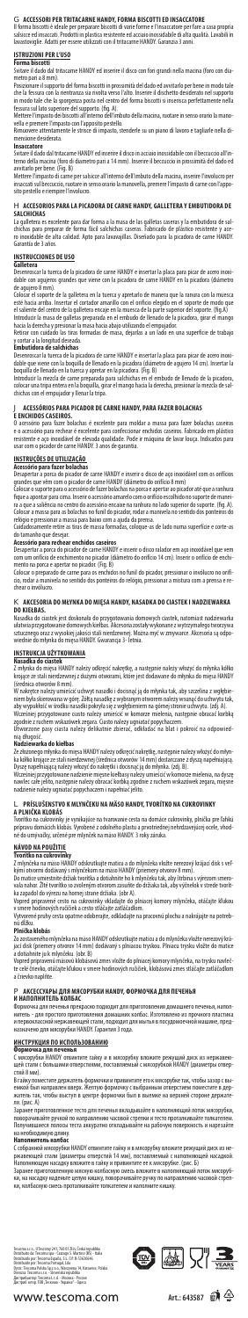### G **ACCESSORI PER TRITACARNE HANDY, FORMA BISCOTTI ED INSACCATORE**

Il forma biscotti è ideale per preparare biscotti di varie forme e l'insaccatore per fare a casa propria salsicce ed insaccati. Prodotti in plastica resistente ed acciaio inossidabile di alta qualità. Lavabili in lavastoviglie. Adatti per essere utilizzati con il tritacarne HANDY. Garanzia 3 anni.

Posizionare il supporto del forma biscotti in prossimità del dado ed avvitarlo per bene in modo tale che la fessura con la rientranza sia rivolta verso l'alto. Inserire il dischetto desiderato nel supporto in modo tale che la sporgenza posta nel centro del forma biscotti si inserisca perfettamente nella<br>fessura sul lato superiore del supporto. (fig. A).

## **ISTRUZIONI PER L'USO Forma biscotti**

Svitare il dado dal tritacarne HANDY ed inserire il disco con fori grandi nella macina (foro con diametro pari a 8 mm).

### H **ACCESORIOS PARA LA PICADORA DE CARNE HANDY, GALLETERA Y EMBUTIDORA DE SALCHICHAS**

Mettere l'impasto dei biscotti all'interno dell'imbuto della macina, ruotare in senso orario la manovella e premere l'impasto con l'apposito pestello.

La galletera es excelente para dar forma a la masa de las galletas caseras y la embutidora de sal-<br>chichas para preparar de forma fácil salchichas caseras. Fabricado de plástico resistente y ace-<br>ro inoxidable de alta cali Garantía de 3 años.

Rimuovere attentamente le strisce di impasto, stenderle su un piano di lavoro e tagliarle nella dimensione desiderata.

### **Insaccatore**

Svitare il dado dal tritacarne HANDY ed inserire il disco in acciaio inossidabile con il beccuccio all'in-terno della macina (foro di diametro pari a 14 mm). Inserire il beccuccio in prossimità del dado ed avvitarlo per bene. (Fig. B)

Mettere l'impasto di carne per salsicce all'interno dell'imbuto della macina, inserire l'involucro per insaccati sul beccuccio, ruotare in senso orario la manovella, premere l'impasto di carne con l'apposito pestello e riempire l'involucro.

O acessório para fazer bolachas é excelente para moldar a massa para fazer bolachas caseiras<br>e o acessório para rechear é excelente para confeccionar enchidos caseiros. Fabricado em plástico<br>resistente e aço inoxidável de usar com o picador de carne HANDY. 3 anos de garantia.

## **INSTRUCCIONES DE USO**

**Galletera**<br>Desenroscar la tuerca de la picadora de carne HANDY e insertar la placa para picar de acero inoxi-<br>dable con agujeros grandes que viene con la picadora de carne HANDY en la picadora (diámetro<br>de agujero 8 mm).

fi que a apontar para cima. Inserir o acessório amarelo com o orifício escolhido no suporte de maneira a que a saliência no centro do acessório encaixe na ranhura no lado superior do suporte. (fig. A).

Colocar a massa para as bolachas no funil do picador, rodar a manivela no sentido dos ponteiros do<br>relógio e pressionar a massa para baixo com a ajuda da prensa.<br>Cuidadosamente retire as tiras de massa formadas, coloque-as do tamanho que desejar.

Colocar el soporte de la galletera en la tuerca y apretarlo de manera que la ranura con la muesca esté hacia arriba. Insertar el cortador amarillo con el orifi cio elegido en el soporte de modo que el saliente del centro de la galletera encaje en la muesca de la parte superior del soporte. (fig.A) Introducir la masa de galletas preparada en el embudo de llenado de la picadora, girar el mango hacia la derecha y presionar la masa hacia abajo utilizando el empujador.

Retirar con cuidado las tiras formadas de masa, dejarlas a un lado en una superficie de trabajo<br>y cortar a la longitud deseada.

### **K** AKCESORIA DO MŁYNKA DO MIESA HANDY, NASADKA DO CIASTEK I NADZIEWARKA **DO KIEŁBAS.**

Nasadka do ciastek jest doskonała do przygotowania domowych ciastek, natomiast nadziewarka<br>ułatwia przygotowanie domowych kiełbas. Akcesoria zostały wykonane z wytrzymałego tworzywa<br>sztucznego oraz z wysokiej jakości stali wiednie do młynka do mięsa HANDY. Gwarancja 3- letnia.

### **Embutidora de salchichas**

Desenroscar la tuerca de la picadora de carne HANDY e insertar la placa para picar de acero inoxi-dable que viene con la boquilla de llenado en la picadora (diámetro de agujero 14 cm). Insertar la

Wcześniej przygotowane ciasto należy umieścić w komorze mielenia, następnie obracać korbką<br>zgodnie z ruchem wskazówek zegara. Ciasto należy ugniatać popychaczem.<br>Utworzone pasy ciasta należy delikatnie zbierać, odkładać na nią długość.

boquilla de llenado en la tuerca y apretar en la picadora. (Fig. B) Introducir la mezcla de carne preparada para salchichas en el embudo de llenado de la picadora, colocar una tripa entera en la boquilla, girar el mango hacia la derecha, presionar la mezcla de salchichas con el empujador y llenar la tripa.

### J **ACESSÓRIOS PARA PICADOR DE CARNE HANDY, PARA FAZER BOLACHAS E ENCHIDOS CASEIROS.**

kými otvormi dodávaný s mlynčekom na mäso HANDY (priemery otvorov 8 mm).<br>Do matice umiestnite držiak tvorítka a dotiahnite ho k mlynčeku tak, aby štrbina s výrezom smero-<br>vala nahor. Žlté tvorítko so zvoleným otvorom zasuň ka zapadol do výrezu na hornej strane držiaka. (obr A).

**INSTRUÇÕES DE UTILIZAÇÃO Acessório para fazer bolachas**

Desapertar a porca do picador de carne HANDY e inserir o disco de aço inoxidável com os orifícios<br>grandes que vêm com o picador de carne HANDY (diâmetro do orifício 8 mm)<br>Colocar o suporte para o acessório de fazer bolacha

Vytvorené pruhy cesta opatrne odoberajte, odkladajte na pracovnú plochu a nakrájajte na potreb-<br>nú dĺžku. nú dĺžku.

Zo zostaveného mlynčeka na mäso HANDY odskrutkujte maticu a do mlynčeka vložte nerezový krájací disk (priemery otvorov 14 mm) dodávaný s plniacou tryskou. Plniacu trysku vložte do n

### **Acessório para rechear enchidos caseiros**

Заранее приготовленное тесто для печенья вкладывайте в наполняющий лоток мясорубки,<br>поворачивайте ручкой по направлению часовой стрелки и тесто проталкивайте толкателем. Получившиеся полосы теста аккуратно откладывайте на рабочую поверхность и нарезайте на необходимую длину.

Desapertar a porca do picador de carne HANDY e inserir o disco ralador em aço inoxidável que vem com um orifício de enchimento no picador (diâmetro do orifício 14 cm). Inserir o orifício de enchimento na porca e apertar no picador. (Fig. B)

Colocar o preparado de carne para os enchidos no funil do picador, pressionar o invólucro no orifício, rodar a manivela no sentido dos ponteiros do relógio, pressionar a mistura com a prensa e rechear o invólucro.

## **INSTRUKCJA UŻYTKOWANIA Nasadka do ciastek**

Z młynka do mięsa HANDY należy odkręcić nakrętkę, a następnie należy włożyć do młynka kółko krojące ze stali nierdzewnej z dużymi otworami, które jest dodawane do młynka do mięsa HANDY (średnica otworów 8 mm).

W nakrętce należy umieścić uchwyt nasadki i docisnąć ją do młynka tak, aby szczelina z wgłębieniem była skierowana w górę. Żółtą nasadkę z wybranym otworem należy wsunąć do uchwytu tak, aby wypukłość w środku nasadki pokryła się z wgłębieniem na górnej stronie uchwytu. (zdj. A).

### **Nadziewarka do kiełbas**

Ze złożonego młynka do mięsa HANDY należy odkręcić nakrętkę, następnie należy włożyć do młyn-ka kółko krojące ze stali nierdzewnej (średnica otworów 14 mm) dostarczane z dyszą napełniającą. Dyszę napełniającą należy włożyć do nakrętki i docisnąć ją do młynka. (zdj. B).

Wcześniej przygotowane nadzienie mięsne kiełbasy należy umieścić w komorze mielenia, na dyszę nawlec całe jelito, następnie należy obracać korbką zgodnie z ruchem wskazówek zegara, mięsne nadzienie należy ugniatać popychaczem i napełniać jelito.

## L **PRÍSLUŠENSTVO K MLYNČEKU NA MÄSO HANDY, TVORÍTKO NA CUKROVINKY A PLNIČKA KLOBÁS**

Tvorítko na cukrovinky je vynikajúce na tvarovanie cesta na domáce cukrovinky, plnička pre ľahkú prípravu domácich klobás. Vyrobené z odolného plastu a prvotriednej nehrdzavejúcej ocele, vhod-né do umývačky, určené pre mlynček na mäso HANDY. 3 roky záruka.

### **NÁVOD NA POUŽITIE**

**Tvorítko na cukrovinky**<br>Z mlynčeka na mäso HANDY odskrutkujte maticu a do mlynčeka vložte nerezový krájací disk s veľ-

Vopred pripravené cesto na cukrovinky vkladajte do plniacej komory mlynčeka, otáčajte kľukou v smere hodinových ručičiek a cesto stláčajte zatláčadlom.

### **Plnička klobás**

a dotiahnite ju k mlynčeku. (obr. B) Vopred pripravenú mäsovú klobásovú zmes vložte do plniacej komory mlynčeka, na trysku navlečte celé črievko, otáčajte kľukou v smere hodinových ručičiek, klobásovú zmes stláčajte zatláčadlom a črievko naplňte.

## P **АКСЕССУАРЫ ДЛЯ МЯСОРУБКИ HANDY, ФОРМОЧКА ДЛЯ ПЕЧЕНЬЯ И НАПОЛНИТЕЛЬ КОЛБАС**

Формочка для печенья прекрасно подходит для приготовления домашнего печенья, напол-нитель - для простого приготовления домашних колбас. Изготовлено из прочного пластика и первоклассной нержавеющей стали, подходит для мытья в посудомоечной машине, предназначено для мясорубки HANDY. Гарантия 3 года.

### **ИНСТРУКЦИЯ ПО ИСПОЛЬЗОВАНИЮ**

### **Формочка для печенья**

С мясорубки HANDY отвинтите гайку и в мясорубку вложите режущий диск из нержавею-щей стали с большими отверстиями, поставляемый с мясорубкой HANDY (диаметры отверстий 8 мм).

В гайку поместите держатель формочки и привинтите его к мясорубке так, чтобы зазор с выемкой был направлен вверх. Желтую формочку с выбранным отверстием поместите в держатель так, чтобы выступ в центре формочки был в выемке на верхней стороне держателя. (рис. А)

### **Наполнитель колбас**

С собранной мясорубки HANDY отвинтите гайку и в мясорубку вложите режущий диск из нежавеющей стали (диаметры отверс<mark>т</mark>ий Наполняющую насадку вложите в гайку и привинтите ее к мясорубке. (рис. Б)

Заранее приготовленную мясную колбасную смесь вложите в наполняющий лоток мясорубки, на насадку наденьте целую кишку, поворачивайте ручку по направлению часовой стр ки, колбасную смесь проталкивайте толкателем и наполните кишку.

Tescoma s.co., Ulescomy 241, 760 01 Zlín, Česká espublika<br>Obstribuito da: Tescoma spa - Cazzago S. Martino (BS) - Italia<br>Obstribuido por: Tescoma España, S.L. Gr. B-35630646<br>Obstribuido por: Tescoma Portugal, Lda<br>Obstribu





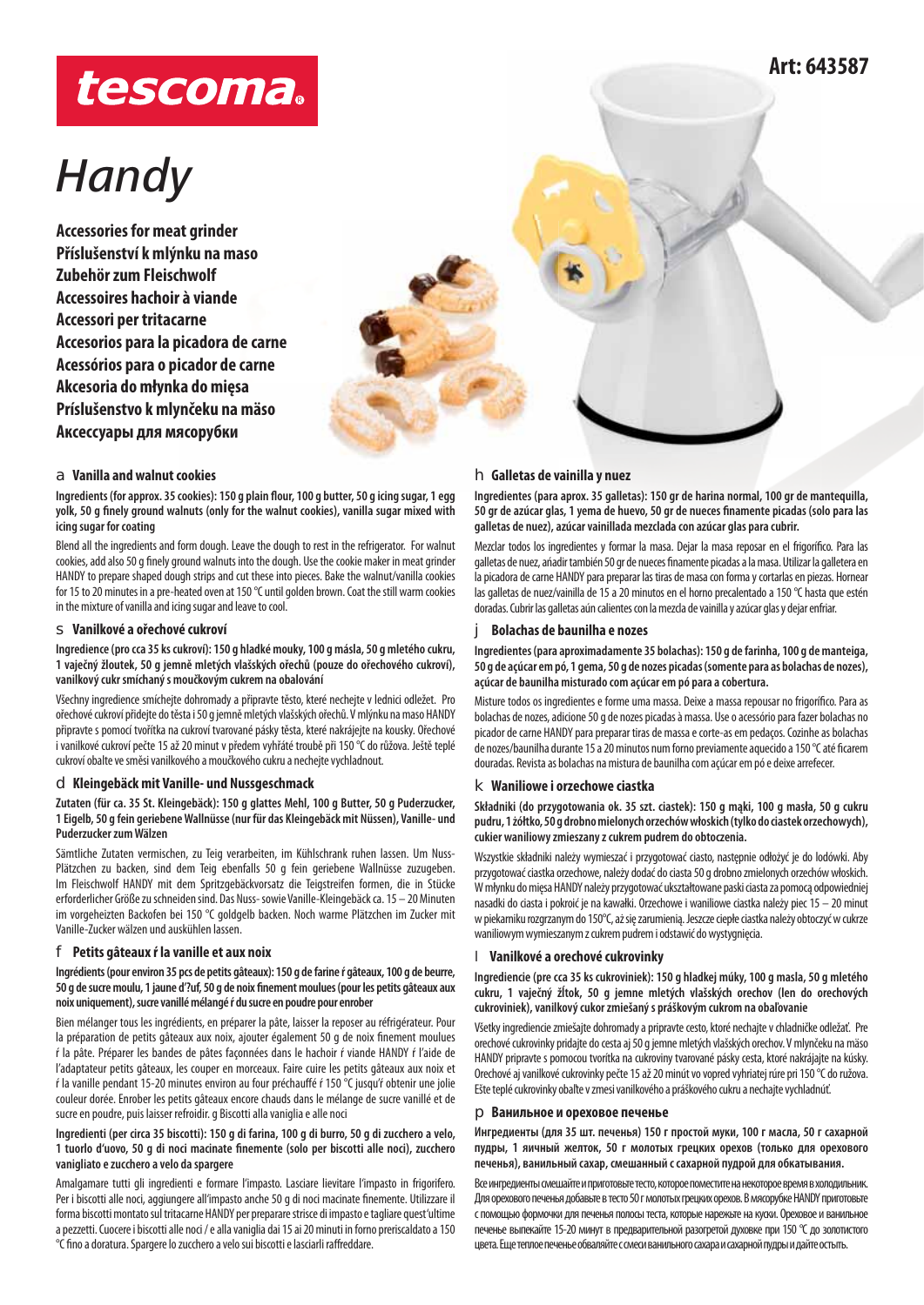# tescoma.

# *Handy*

**Accessories for meat grinder Příslušenství k mlýnku na maso Zubehör zum Fleischwolf Accessoires hachoir à viande Accessori per tritacarne Accesorios para la picadora de carne Acessórios para o picador de carne Akcesoria do młynka do mięsa Príslušenstvo k mlynčeku na mäso Аксессуары для мясорубки** 

## **Art: 643587**

### h **Galletas de vainilla y nuez**

**Ingredientes (para aprox. 35 galletas): 150 gr de harina normal, 100 gr de mantequilla,**  50 gr de azúcar glas, 1 yema de huevo, 50 gr de nueces finamente picadas (solo para las **galletas de nuez), azúcar vainillada mezclada con azúcar glas para cubrir.**

Blend all the ingredients and form dough. Leave the dough to rest in the refrigerator. For walnut cookies, add also 50 g finely ground walnuts into the dough. Use the cookie maker in meat grinder HANDY to prepare shaped dough strips and cut these into pieces. Bake the walnut/vanilla cookies for 15 to 20 minutes in a pre-heated oven at 150 °C until golden brown. Coat the still warm cookies in the mixture of vanilla and icing sugar and leave to cool. Mezclar todos los ingredientes y formar la masa. Dejar la masa reposar en el frigorífico. Para las

### s **Vanilkové a ořechové cukroví**

a **Vanilla and walnut cookies**

**icing sugar for coating**

**Ingredience (pro cca 35 ks cukroví): 150 g hladké mouky, 100 g másla, 50 g mletého cukru, 1 vaječný žloutek, 50 g jemně mletých vlašských ořechů (pouze do ořechového cukroví), vanilkový cukr smíchaný s moučkovým cukrem na obalování**

Ingredients (for approx. 35 cookies): 150 g plain flour, 100 g butter, 50 g icing sugar, 1 egg yolk, 50 g finely ground walnuts (only for the walnut cookies), vanilla sugar mixed with

Všechny ingredience smíchejte dohromady a připravte těsto, které nechejte v lednici odležet. Pro ořechové cukroví přidejte do těsta i 50 g jemně mletých vlašských ořechů. V mlýnku na maso HANDY připravte s pomocí tvořítka na cukroví tvarované pásky těsta, které nakrájejte na kousky. Ořechové i vanilkové cukroví pečte 15 až 20 minut v předem vyhřáté troubě při 150 °C do růžova. Ještě teplé cukroví obalte ve směsi vanilkového a moučkového cukru a nechejte vychladnout.

### d **Kleingebäck mit Vanille- und Nussgeschmack**

**Zutaten (für ca. 35 St. Kleingebäck): 150 g glattes Mehl, 100 g Butter, 50 g Puderzucker, 1 Eigelb, 50 g fein geriebene Wallnüsse (nur für das Kleingebäck mit Nüssen), Vanille- und Puderzucker zum Wälzen**

Sämtliche Zutaten vermischen, zu Teig verarbeiten, im Kühlschrank ruhen lassen. Um Nuss-Plätzchen zu backen, sind dem Teig ebenfalls 50 g fein geriebene Wallnüsse zuzugeben. Im Fleischwolf HANDY mit dem Spritzgebäckvorsatz die Teigstreifen formen, die in Stücke erforderlicher Größe zu schneiden sind. Das Nuss- sowie Vanille-Kleingebäck ca. 15 – 20 Minuten im vorgeheizten Backofen bei 150 °C goldgelb backen. Noch warme Plätzchen im Zucker mit Vanille-Zucker wälzen und auskühlen lassen.

### f **Petits gâteaux ŕ la vanille et aux noix**

**Ingrédients (pour environ 35 pcs de petits gâteaux): 150 g de farine ŕ gâteaux, 100 g de beurre,**  50 g de sucre moulu, 1 jaune d'?uf, 50 g de noix finement moulues (pour les petits gâteaux aux **noix uniquement), sucre vanillé mélangé ŕ du sucre en poudre pour enrober**

Bien mélanger tous les ingrédients, en préparer la pâte, laisser la reposer au réfrigérateur. Pour la préparation de petits gâteaux aux noix, ajouter également 50 g de noix finement moulues ŕ la pâte. Préparer les bandes de pâtes façonnées dans le hachoir ŕ viande HANDY ŕ l'aide de l'adaptateur petits gâteaux, les couper en morceaux. Faire cuire les petits gâteaux aux noix et ŕ la vanille pendant 15-20 minutes environ au four préchauffé ŕ 150 °C jusqu'ŕ obtenir une jolie couleur dorée. Enrober les petits gâteaux encore chauds dans le mélange de sucre vanillé et de sucre en poudre, puis laisser refroidir. g Biscotti alla vaniglia e alle noci

### **Ingredienti (per circa 35 biscotti): 150 g di farina, 100 g di burro, 50 g di zucchero a velo, 1 tuorlo d'uovo, 50 g di noci macinate fi nemente (solo per biscotti alle noci), zucchero vanigliato e zucchero a velo da spargere**

Amalgamare tutti gli ingredienti e formare l'impasto. Lasciare lievitare l'impasto in frigorifero. Per i biscotti alle noci, aggiungere all'impasto anche 50 g di noci macinate finemente. Utilizzare il forma biscotti montato sul tritacarne HANDY per preparare strisce di impasto e tagliare quest'ultime a pezzetti. Cuocere i biscotti alle noci / e alla vaniglia dai 15 ai 20 minuti in forno preriscaldato a 150 °C fino a doratura. Spargere lo zucchero a velo sui biscotti e lasciarli raffreddare.

galletas de nuez, añadir también 50 gr de nueces finamente picadas a la masa. Utilizar la galletera en la picadora de carne HANDY para preparar las tiras de masa con forma y cortarlas en piezas. Hornear las galletas de nuez/vainilla de 15 a 20 minutos en el horno precalentado a 150 °C hasta que estén doradas. Cubrir las galletas aún calientes con la mezcla de vainilla y azúcar glas y dejar enfriar.

### j **Bolachas de baunilha e nozes**

**Ingredientes (para aproximadamente 35 bolachas): 150 g de farinha, 100 g de manteiga, 50 g de açúcar em pó, 1 gema, 50 g de nozes picadas (somente para as bolachas de nozes), açúcar de baunilha misturado com açúcar em pó para a cobertura.**

Misture todos os ingredientes e forme uma massa. Deixe a massa repousar no frigorífico. Para as bolachas de nozes, adicione 50 g de nozes picadas à massa. Use o acessório para fazer bolachas no picador de carne HANDY para preparar tiras de massa e corte-as em pedaços. Cozinhe as bolachas de nozes/baunilha durante 15 a 20 minutos num forno previamente aquecido a 150 °C até ficarem douradas. Revista as bolachas na mistura de baunilha com açúcar em pó e deixe arrefecer.

### **k** Waniliowe i orzechowe ciastka

**Składniki (do przygotowania ok. 35 szt. ciastek): 150 g mąki, 100 g masła, 50 g cukru pudru, 1 żółtko, 50 g drobno mielonych orzechów włoskich (tylko do ciastek orzechowych), cukier waniliowy zmieszany z cukrem pudrem do obtoczenia.**

Wszystkie składniki należy wymieszać i przygotować ciasto, następnie odłożyć je do lodówki. Aby przygotować ciastka orzechowe, należy dodać do ciasta 50 g drobno zmielonych orzechów włoskich. W młynku do mięsa HANDY należy przygotować ukształtowane paski ciasta za pomocą odpowiedniej nasadki do ciasta i pokroić je na kawałki. Orzechowe i waniliowe ciastka należy piec 15 – 20 minut w piekarniku rozgrzanym do 150°C, aż się zarumienią. Jeszcze ciepłe ciastka należy obtoczyć w cukrze waniliowym wymieszanym z cukrem pudrem i odstawić do wystygnięcia.

### l **Vanilkové a orechové cukrovinky**

**Ingrediencie (pre cca 35 ks cukroviniek): 150 g hladkej múky, 100 g masla, 50 g mletého cukru, 1 vaječný žĺtok, 50 g jemne mletých vlašských orechov (len do orechových cukroviniek), vanilkový cukor zmiešaný s práškovým cukrom na obaľovanie**

Všetky ingrediencie zmiešajte dohromady a pripravte cesto, ktoré nechajte v chladničke odležať. Pre orechové cukrovinky pridajte do cesta aj 50 g jemne mletých vlašských orechov. V mlynčeku na mäso HANDY pripravte s pomocou tvorítka na cukroviny tvarované pásky cesta, ktoré nakrájajte na kúsky. Orechové aj vanilkové cukrovinky pečte 15 až 20 minút vo vopred vyhriatej rúre pri 150 °C do ružova. Ešte teplé cukrovinky obaľte v zmesi vanilkového a práškového cukru a nechajte vychladnúť.

### **• Ванильное и ореховое печенье**

**Ингредиенты (для 35 шт. печенья) 150 г простой муки, 100 г масла, 50 г сахарной пудры, 1 яичный желток, 50 г молотых грецких орехов (только для орехового печенья), ванильный сахар, смешанный с сахарной пудрой для обкатывания.**

Все ингредиенты смешайте и приготовьте тесто, которое поместите на некоторое время в холодильник. Для орехового печенья добавьте в тесто 50 г молотых грецких орехов. В мясорубке HANDY приготовьте с помощью формочки для печенья полосы теста, которые нарежьте на куски. Ореховое и ванильное печенье выпекайте 15-20 минут в предварительной разогретой духовке при 150 °C до золотистого цвета. Еще теплое печенье обваляйте с смеси ванильного сахара и сахарной пудры и дайте остыть.